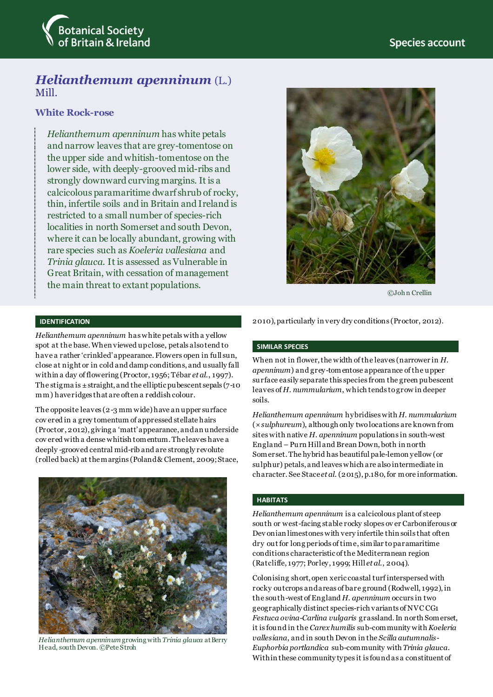

# *Helianthemum apenninum* (L.) Mill.

## **White Rock-rose**

*Helianthemum apenninum* has white petals and narrow leaves that are grey-tomentose on the upper side and whitish-tomentose on the lower side, with deeply-grooved mid-ribs and strongly downward curving margins. It is a calcicolous paramaritime dwarf shrub of rocky, thin, infertile soils and in Britain and Ireland is restricted to a small number of species-rich localities in north Somerset and south Devon, where it can be locally abundant, growing with rare species such as *Koeleria vallesiana* and *Trinia glauca*. It is assessed as Vulnerable in Great Britain, with cessation of management the main threat to extant populations.



©Joh n Crellin

#### **IDENTIFICATION**

*Helianthemum apenninum* has white petals with a yellow spot at the base. When viewed up close, petals also tend to have a rather 'crinkled' appearance. Flowers open in full sun, close at night or in cold and damp conditions, and usually fall within a day of flowering (Proctor, 1956; Tébar *et al*., 1997). The stigma is  $\pm$  straight, and the elliptic pubescent sepals (7-10 mm) have ridges that are often a reddish colour.

The opposite leaves (2-3 mm wide) have an upper surface cov ered in a grey tomentum of appressed stellate hairs (Proctor, 2012), giving a 'matt'appearance, and an underside cov ered with a dense whitish tomentum. The leaves have a deeply -grooved central mid-rib and are strongly revolute (rolled back) at the margins (Poland & Clement, 2009; Stace,



*Helianthemum apenninum* growing with *Trinia glauca* at Berry Head, south Devon. ©Pete Stroh

2010), particularly in very dry conditions (Proctor, 2012).

#### **SIMILAR SPECIES**

When not in flower, the width of the leaves (narrower in *H. apenninum*) and grey-tomentose appearance of the upper surface easily separate this species from the green pubescent leaves of *H. nummularium*, which tends to grow in deeper soils.

*Helianthemum apenninum* hybridises with *H. nummularium* (×*sulphureum*), although only two locations are known from sites with native *H. apenninum* populations in south-west England – Purn Hill and Brean Down, both in north Somerset. The hybrid has beautiful pale-lemon yellow (or sulphur) petals, and leaves which are also intermediate in character. See Stace *et al*. (2015), p.180, for more information.

#### **HABITATS**

*Helianthemum apenninum* is a calcicolous plant of steep south or west-facing stable rocky slopes ov er Carboniferous or Dev onian limestones with very infertile thin soils that often dry out for long periods of time, similar to paramaritime conditions characteristic of the Mediterranean region (Ratcliffe, 1977; Porley, 1999; Hill *et al*., 2004).

Colonising short, open xeric coastal turf interspersed with rocky outcrops and areas of bare ground (Rodwell, 1992), in the south-west of England *H. apenninum* occurs in two geographically distinct species-rich variants of NVC CG1 *Festuca ovina*-*Carlina vulgaris* grassland. In north Somerset, it is found in the *Carex humilis* sub-community with *Koeleria vallesiana*, and in south Devon in the *Scilla autumnalis*-*Euphorbia portlandica* sub-community with *Trinia glauca*. Within these community types it is found as a constituent of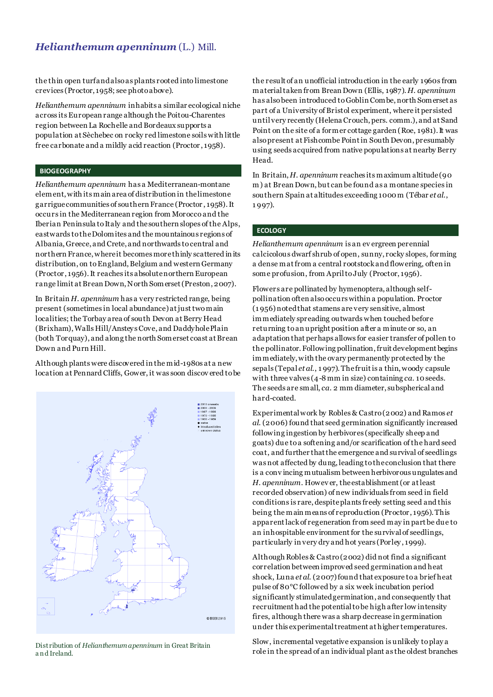# *Helianthemum apenninum* (L.) Mill.

the thin open turf and also as plants rooted into limestone crevices (Proctor, 1958; see photo above).

*Helianthemum apenninum* inhabits a similar ecological niche across its European range although the Poitou-Charentes region between La Rochelle and Bordeaux supports a population at Sèchebec on rocky red limestone soils with little free carbonate and a mildly acid reaction (Proctor , 1958).

#### **BIOGEOGRAPHY**

*Helianthemum apenninum* has a Mediterranean-montane element, with its main area of distribution in the limestone garrigue communities of southern France (Proctor , 1958). It occurs in the Mediterranean region from Morocco and the Iberian Peninsula to Italy and the southern slopes of the Alps, eastwards to the Dolomites and the mountainous regions of Albania, Greece, and Crete, and northwards to central and northern France, where it becomes more thinly scattered in its distribution, on to England, Belgium and western Germany (Proctor, 1956). It reaches its absolute northern European range limit at Brean Down, North Somerset (Preston, 2007).

In Britain *H. apenninum* has a very restricted range, being present (sometimes in local abundance) atjust two main localities; the Torbay area of south Devon at Berry Head (Brixham), Walls Hill/Ansteys Cove, and Daddyhole Plain (both Torquay), and along the north Somerset coast at Brean Down and Purn Hill.

Although plants were discovered in the mid-1980s at a new location at Pennard Cliffs, Gower, it was soon discov ered to be



Distribution of *Helianthemum apenninum* in Great Britain a n d Ireland.

the result of an unofficial introduction in the early 1960s from material taken from Brean Down (Ellis, 1987). *H. apenninum* has also been introduced to Goblin Combe, north Somerset as part of a University of Bristol experiment, where it persisted until very recently (Helena Crouch, pers. comm.), and at Sand Point on the site of a former cottage garden (Roe, 1981). It was also present at Fishcombe Point in South Devon, presumably using seeds acquired from native populations at nearby Berry Head.

In Britain, *H. apenninum* reaches its maximum altitude (90 m) at Brean Down, but can be found as a montane species in southern Spain at altitudes exceeding 1000 m (Tébar *et al*., 1 997).

#### **ECOLOGY**

*Helianthemum apenninum* is an ev ergreen perennial calcicolous dwarf shrub of open, sunny, rocky slopes, forming a dense mat from a central rootstock and flowering, often in some profusion, from April to July (Proctor, 1956).

Flowers are pollinated by hymenoptera, although selfpollination often also occurs within a population. Proctor (1 956)notedthat stamens are very sensitive, almost immediately spreading outwards when touched before returning to an upright position after a minute or so, an adaptation that perhaps allows for easier transfer of pollen to the pollinator. Following pollination, fruit development begins immediately, with the ovary permanently protected by the sepals (Tepal *et al*., 1 997). Thefruit is a thin, woody capsule with three valves (4-8 mm in size) containing *ca*. 10 seeds. The seeds are small, *ca*. 2 mm diameter, subspherical and hard-coated.

Experimental work by Robles & Castro (2002) and Ramos *et al*. (2006) found that seed germination significantly increased following ingestion by herbivores (specifically sheep and goats) due to a softening and/or scarification of the hard seed coat, and further that the emergence and survival of seedlings was not affected by dung, leading to the conclusion that there is a conv incing mutualism between herbivorous ungulates and *H. apenninum*. Howev er, the establishment (or at least recorded observation) of new individuals from seed in field conditions is rare, despite plants freely setting seed and this being the main means of reproduction (Proctor, 1956). This apparent lack of regeneration from seed may in part be due to an inhospitable environment for the survival of seedlings, particularly in very dry and hot years (Porley , 1999).

Although Robles & Castro (2002) did not find a significant correlation between improved seed germination and heat shock, Luna *et al*. (2007) found that exposure to a brief heat pulse of 80°C followed by a six week incubation period significantly stimulated germination, and consequently that recruitment had the potential to be high after low intensity fires, although there was a sharp decrease in germination under this experimental treatment at higher temperatures.

Slow, incremental vegetative expansion is unlikely to play a role in the spread of an individual plant as the oldest branches